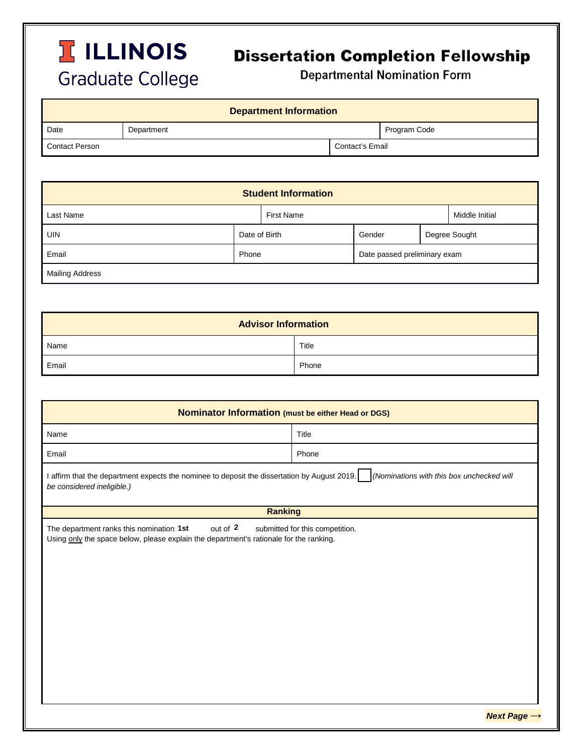## **TELLINOIS Graduate College**

## **Dissertation Completion Fellowship**

**Departmental Nomination Form** 

| <b>Department Information</b> |            |                 |              |  |  |
|-------------------------------|------------|-----------------|--------------|--|--|
| Date                          | Department |                 | Program Code |  |  |
| Contact Person                |            | Contact's Email |              |  |  |

| <b>Student Information</b> |               |                   |                              |               |                |  |  |
|----------------------------|---------------|-------------------|------------------------------|---------------|----------------|--|--|
| <b>Last Name</b>           |               | <b>First Name</b> |                              |               | Middle Initial |  |  |
| <b>UIN</b>                 | Date of Birth |                   | Gender                       | Degree Sought |                |  |  |
| Email                      | Phone         |                   | Date passed preliminary exam |               |                |  |  |
| <b>Mailing Address</b>     |               |                   |                              |               |                |  |  |

| <b>Advisor Information</b> |       |  |  |
|----------------------------|-------|--|--|
| Name                       | Title |  |  |
| Email                      | Phone |  |  |

| Nominator Information (must be either Head or DGS)                                                                                                                                |       |  |  |  |  |
|-----------------------------------------------------------------------------------------------------------------------------------------------------------------------------------|-------|--|--|--|--|
| Name                                                                                                                                                                              | Title |  |  |  |  |
| Email                                                                                                                                                                             | Phone |  |  |  |  |
| I affirm that the department expects the nominee to deposit the dissertation by August 2019.<br>(Nominations with this box unchecked will<br>be considered ineligible.)           |       |  |  |  |  |
| <b>Ranking</b>                                                                                                                                                                    |       |  |  |  |  |
| out of 2<br>The department ranks this nomination 1st<br>submitted for this competition.<br>Using only the space below, please explain the department's rationale for the ranking. |       |  |  |  |  |

*Next Page* **→**